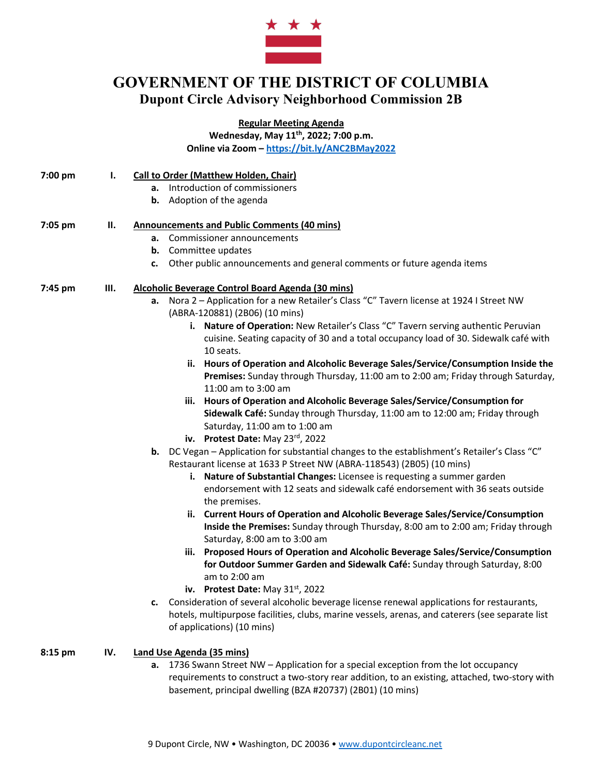

# **GOVERNMENT OF THE DISTRICT OF COLUMBIA Dupont Circle Advisory Neighborhood Commission 2B**

**Regular Meeting Agenda**

**Wednesday, May 11th, 2022; 7:00 p.m. Online via Zoom – https://bit.ly/ANC2BMay2022**

| 7:00 pm   | ı.  | <b>Call to Order (Matthew Holden, Chair)</b>                                                                                                                                                                                      |
|-----------|-----|-----------------------------------------------------------------------------------------------------------------------------------------------------------------------------------------------------------------------------------|
|           |     | Introduction of commissioners<br>а.                                                                                                                                                                                               |
|           |     | Adoption of the agenda<br>b.                                                                                                                                                                                                      |
| 7:05 pm   | н.  | <b>Announcements and Public Comments (40 mins)</b>                                                                                                                                                                                |
|           |     | a. Commissioner announcements                                                                                                                                                                                                     |
|           |     | Committee updates<br>b.                                                                                                                                                                                                           |
|           |     | Other public announcements and general comments or future agenda items<br>c.                                                                                                                                                      |
| 7:45 pm   | Ш.  | Alcoholic Beverage Control Board Agenda (30 mins)                                                                                                                                                                                 |
|           |     | Nora 2 - Application for a new Retailer's Class "C" Tavern license at 1924 I Street NW<br>а.<br>(ABRA-120881) (2B06) (10 mins)                                                                                                    |
|           |     | i. Nature of Operation: New Retailer's Class "C" Tavern serving authentic Peruvian<br>cuisine. Seating capacity of 30 and a total occupancy load of 30. Sidewalk café with<br>10 seats.                                           |
|           |     | ii. Hours of Operation and Alcoholic Beverage Sales/Service/Consumption Inside the<br>Premises: Sunday through Thursday, 11:00 am to 2:00 am; Friday through Saturday,<br>11:00 am to 3:00 am                                     |
|           |     | iii. Hours of Operation and Alcoholic Beverage Sales/Service/Consumption for<br>Sidewalk Café: Sunday through Thursday, 11:00 am to 12:00 am; Friday through<br>Saturday, 11:00 am to 1:00 am<br>iv. Protest Date: May 23rd, 2022 |
|           |     | b. DC Vegan - Application for substantial changes to the establishment's Retailer's Class "C"                                                                                                                                     |
|           |     | Restaurant license at 1633 P Street NW (ABRA-118543) (2B05) (10 mins)                                                                                                                                                             |
|           |     | i. Nature of Substantial Changes: Licensee is requesting a summer garden<br>endorsement with 12 seats and sidewalk café endorsement with 36 seats outside<br>the premises.                                                        |
|           |     | ii. Current Hours of Operation and Alcoholic Beverage Sales/Service/Consumption<br>Inside the Premises: Sunday through Thursday, 8:00 am to 2:00 am; Friday through<br>Saturday, 8:00 am to 3:00 am                               |
|           |     | iii. Proposed Hours of Operation and Alcoholic Beverage Sales/Service/Consumption<br>for Outdoor Summer Garden and Sidewalk Café: Sunday through Saturday, 8:00<br>am to 2:00 am                                                  |
|           |     | iv. Protest Date: May 31 <sup>st</sup> , 2022                                                                                                                                                                                     |
|           |     | Consideration of several alcoholic beverage license renewal applications for restaurants,<br>c.<br>hotels, multipurpose facilities, clubs, marine vessels, arenas, and caterers (see separate list<br>of applications) (10 mins)  |
| $8:15$ pm | IV. | <b>Land Use Agenda (35 mins)</b><br>1736 Super Street NW Application for a special overation from the let occupancy                                                                                                               |

**a.** 1736 Swann Street NW – Application for a special exception from the lot occupancy requirements to construct a two-story rear addition, to an existing, attached, two-story with basement, principal dwelling (BZA #20737) (2B01) (10 mins)